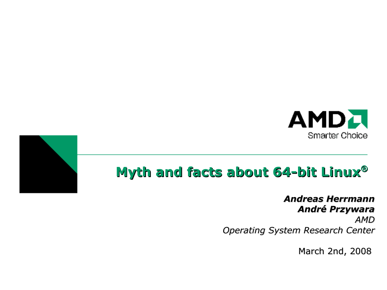



### *Andreas Herrmann André Przywara*

*AMD Operating System Research Center*

March 2nd, 2008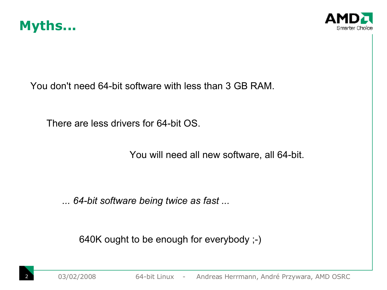



You don't need 64-bit software with less than 3 GB RAM.

There are less drivers for 64-bit OS.

You will need all new software, all 64-bit.

*... 64-bit software being twice as fast ...*

640K ought to be enough for everybody ;-)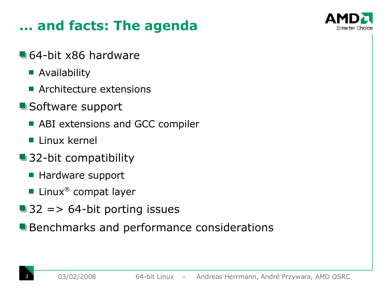### **... and facts: The agenda**



- 64-bit x86 hardware
	- **Availability**
	- **Architecture extensions**
- **Software support** 
	- **ABI extensions and GCC compiler**
	- **Linux kernel**
- 32-bit compatibility
	- Hardware support
	- Linux ® compat layer
- $\blacksquare$  32 = > 64-bit porting issues
- **Benchmarks and performance considerations**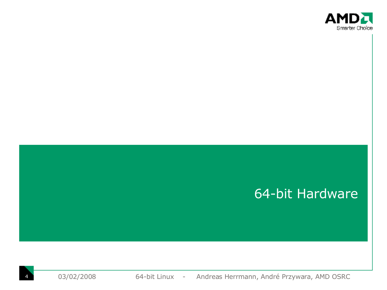

### 64-bit Hardware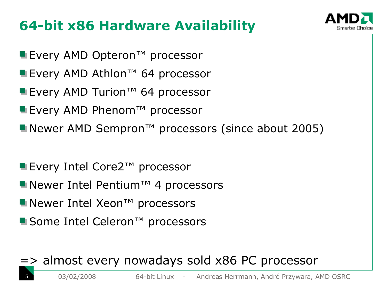## **64-bit x86 Hardware Availability**



- Every AMD Opteron<sup>™</sup> processor
- Every AMD Athlon™ 64 processor
- Every AMD Turion™ 64 processor
- Every AMD Phenom<sup>™</sup> processor
- Newer AMD Sempron<sup>™</sup> processors (since about 2005)
- Every Intel Core2™ processor
- Newer Intel Pentium™ 4 processors
- Newer Intel Xeon<sup>™</sup> processors
- Some Intel Celeron<sup>™</sup> processors

### => almost every nowadays sold x86 PC processor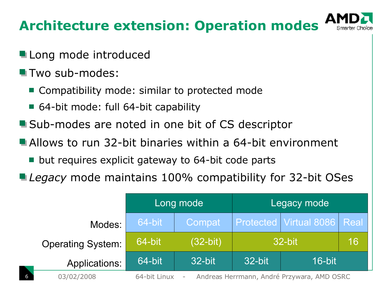## **Architecture extension: Operation modes**

- Long mode introduced
- **T** Two sub-modes:
	- Compatibility mode: similar to protected mode
	- 64-bit mode: full 64-bit capability
- Sub-modes are noted in one bit of CS descriptor
- Allows to run 32-bit binaries within a 64-bit environment
	- but requires explicit gateway to 64-bit code parts
- *Legacy* mode maintains 100% compatibility for 32-bit OSes

|                          | Long mode                                                  |            | Legacy mode      |                             |    |
|--------------------------|------------------------------------------------------------|------------|------------------|-----------------------------|----|
| Modes:                   | 64-bit                                                     | Compat     |                  | Protected Virtual 8086 Real |    |
| <b>Operating System:</b> | 64-bit                                                     | $(32-bit)$ | 32-bit           |                             | 16 |
| Applications:            | 64-bit                                                     | 32-bit     | 32-bit<br>16-bit |                             |    |
| 03/02/2008               | Andreas Herrmann, André Przywara, AMD OSRC<br>64-bit Linux |            |                  |                             |    |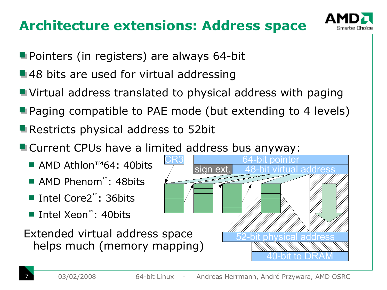### **Architecture extensions: Address space**



- **Pointers (in registers) are always 64-bit**
- ■48 bits are used for virtual addressing
- Virtual address translated to physical address with paging
- **Paging compatible to PAE mode (but extending to 4 levels)**
- Restricts physical address to 52bit
- **E** Current CPUs have a limited address bus anyway:
	- AMD Athlon™64: 40bits
	- AMD Phenom<sup>™</sup>: 48bits
	- Intel Core2 ™: 36bits
	- Intel Xeon ™: 40bits
	- Extended virtual address space helps much (memory mapping)

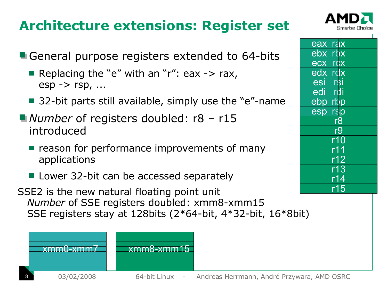### **Architecture extensions: Register set**



| eax rax                  |
|--------------------------|
| ebx rbx                  |
| ecx rcx                  |
| edx rdx                  |
| rsi<br>esi               |
| rdi<br>edi               |
| ebp rbp                  |
| esp rsp                  |
| r8                       |
| r9                       |
| r10                      |
| r11                      |
|                          |
| $\frac{1}{112}$<br>$r13$ |
| r14                      |
| r15                      |

- General purpose registers extended to 64-bits
	- Replacing the "e" with an "r": eax  $\rightarrow$  rax,  $e$ sp  $\rightarrow$  rsp,  $\dots$
	- 32-bit parts still available, simply use the "e"-name
- *Number* of registers doubled: r8 r15 introduced
	- $\blacksquare$  reason for performance improvements of many applications
	- Lower 32-bit can be accessed separately
- SSE2 is the new natural floating point unit *Number* of SSE registers doubled: xmm8-xmm15 SSE registers stay at 128bits (2\*64-bit, 4\*32-bit, 16\*8bit)

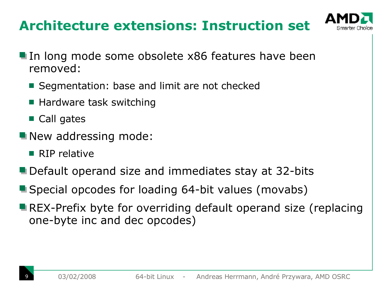### **Architecture extensions: Instruction set**



- In long mode some obsolete x86 features have been removed:
	- Segmentation: base and limit are not checked
	- Hardware task switching
	- Call gates
- New addressing mode:
	- $\blacksquare$  RIP relative
- **Default operand size and immediates stay at 32-bits**
- **Special opcodes for loading 64-bit values (movabs)**
- **REX-Prefix byte for overriding default operand size (replacing** one-byte inc and dec opcodes)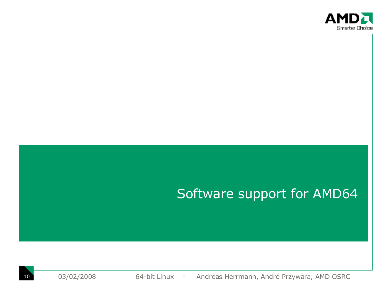

### Software support for AMD64

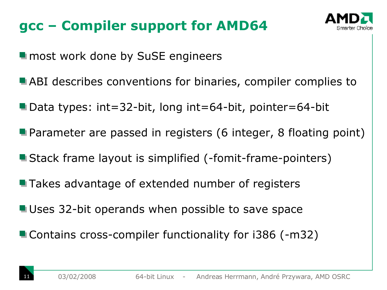## **gcc – Compiler support for AMD64**



**In most work done by SuSE engineers** 

- **ABI describes conventions for binaries, compiler complies to**
- Data types: int=32-bit, long int=64-bit, pointer=64-bit
- **Parameter are passed in registers (6 integer, 8 floating point)**
- **Stack frame layout is simplified (-fomit-frame-pointers)**
- **Takes advantage of extended number of registers**
- **Uses 32-bit operands when possible to save space**
- Contains cross-compiler functionality for i386 (-m32)

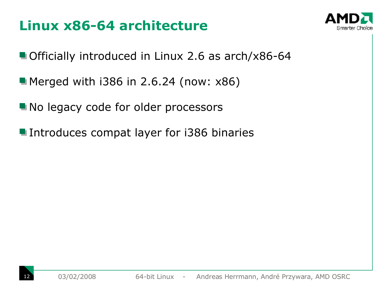### **Linux x86-64 architecture**



- Officially introduced in Linux 2.6 as arch/x86-64
- **Merged with i386 in 2.6.24 (now: x86)**
- No legacy code for older processors
- **Introduces compat layer for i386 binaries**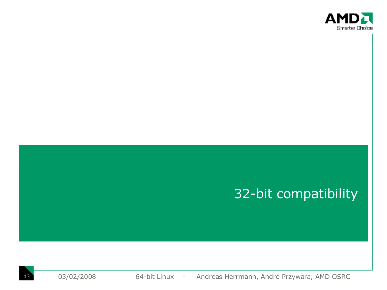

### 32-bit compatibility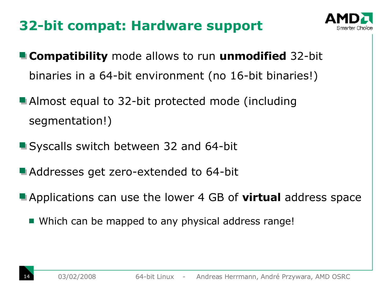## **32-bit compat: Hardware support**



- **Compatibility** mode allows to run **unmodified** 32-bit binaries in a 64-bit environment (no 16-bit binaries!)
- **Almost equal to 32-bit protected mode (including** segmentation!)
- **Syscalls switch between 32 and 64-bit**
- **Addresses get zero-extended to 64-bit**
- Applications can use the lower 4 GB of **virtual** address space
	- Which can be mapped to any physical address range!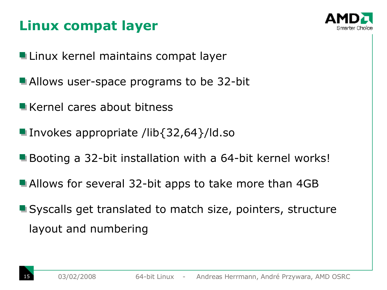## **Linux compat layer**



- **Linux kernel maintains compat layer**
- **Allows user-space programs to be 32-bit**
- **Kernel cares about bitness**
- Invokes appropriate /lib $\{32,64\}$ /ld.so
- **Booting a 32-bit installation with a 64-bit kernel works!**
- **Allows for several 32-bit apps to take more than 4GB**
- **Syscalls get translated to match size, pointers, structure** layout and numbering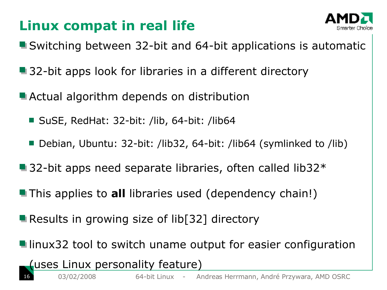## **Linux compat in real life**



- Switching between 32-bit and 64-bit applications is automatic
- 32-bit apps look for libraries in a different directory
- **Actual algorithm depends on distribution** 
	- SuSE, RedHat: 32-bit: /lib, 64-bit: /lib64
	- Debian, Ubuntu: 32-bit: /lib32, 64-bit: /lib64 (symlinked to /lib)
- $\blacksquare$  32-bit apps need separate libraries, often called lib32 $\ast$
- **This applies to all libraries used (dependency chain!)**
- **Results in growing size of lib[32] directory**
- **L** linux32 tool to switch uname output for easier configuration

### (uses Linux personality feature)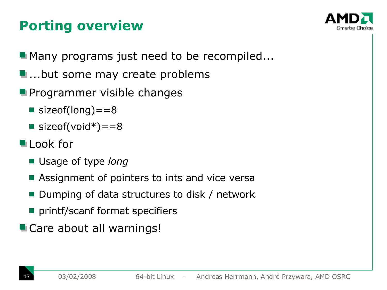## **Porting overview**



**Many programs just need to be recompiled...** 

- **...**but some may create problems
- **Programmer visible changes** 
	- sizeof(long)  $=$  = 8
	- sizeof(void\*)==8
- **Look** for
	- Usage of type *long*
	- Assignment of pointers to ints and vice versa
	- Dumping of data structures to disk / network
	- **P** printf/scanf format specifiers
- **Care about all warnings!**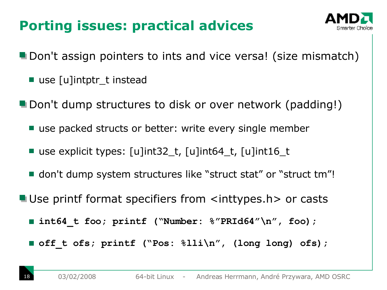## **Porting issues: practical advices**



- **Don't assign pointers to ints and vice versa! (size mismatch)** 
	- use [u]intptr\_t instead
- **Don't dump structures to disk or over network (padding!)** 
	- use packed structs or better: write every single member
	- use explicit types: [u]int32\_t, [u]int64\_t, [u]int16\_t
	- don't dump system structures like "struct stat" or "struct tm"!
- Use printf format specifiers from <inttypes.h> or casts
	- **lacktriangleright interpretered in the integration of the integration of the integration of the integration of the integration of the integration of the integration of the integration of the integration of the integration**
	- **off** t ofs; printf ("Pos:  $\frac{2}{1}$ li\n", (long long) ofs);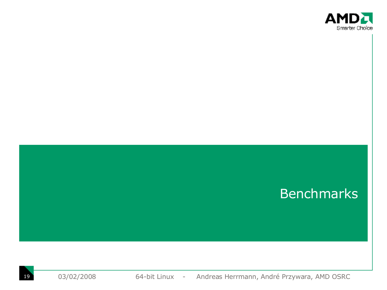

### Benchmarks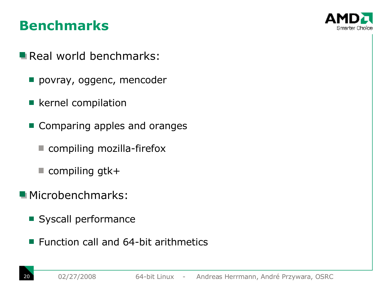### **Benchmarks**



- Real world benchmarks:
	- povray, oggenc, mencoder
	- **E** kernel compilation
	- Comparing apples and oranges
		- compiling mozilla-firefox
		- $\blacksquare$  compiling gtk+
- **Microbenchmarks:** 
	- Syscall performance
	- $\blacksquare$  Function call and 64-bit arithmetics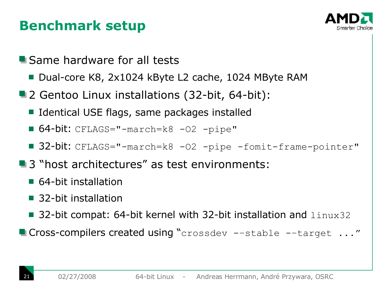### **Benchmark setup**



- **Same hardware for all tests** 
	- Dual-core K8, 2x1024 kByte L2 cache, 1024 MByte RAM
- 2 Gentoo Linux installations (32-bit, 64-bit):
	- Identical USE flags, same packages installed
	- $\blacksquare$  64-bit: CFLAGS="-march=k8 -02 -pipe"
	- 32-bit: CFLAGS="-march=k8 -02 -pipe -fomit-frame-pointer"
- **3** "host architectures" as test environments:
	- 64-bit installation
	- 32-bit installation
	- 32-bit compat: 64-bit kernel with 32-bit installation and  $\text{limx32}$
- **Cross-compilers created using "**crossdev --stable --target ..."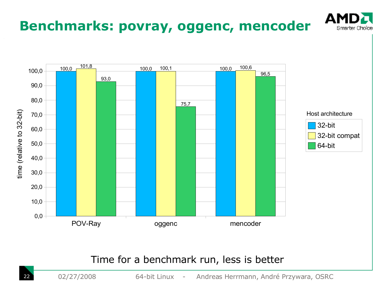

### Time for a benchmark run, less is better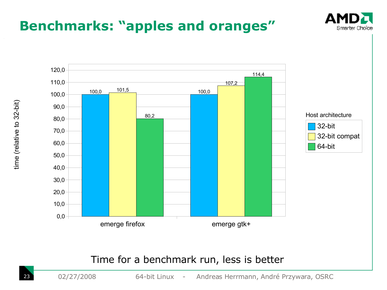### **Benchmarks: "apples and oranges"**





#### emerge firefox emerge gtk+

### Time for a benchmark run, less is better

23 02/27/2008 64-bit Linux - Andreas Herrmann, André Przywara, OSRC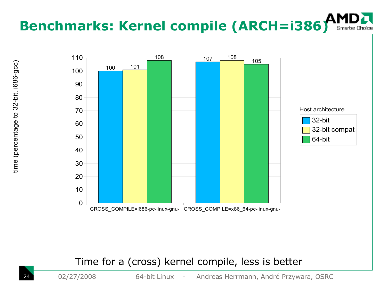# **Benchmarks: Kernel compile (ARCH=i386)**



### Time for a (cross) kernel compile, less is better

02/27/2008 64-bit Linux - Andreas Herrmann, André Przywara, OSRC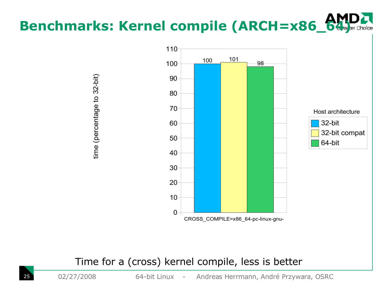# **Benchmarks: Kernel compile (ARCH=x86\_64)**



### Time for a (cross) kernel compile, less is better

 $\mathbf{t}$ 

e (perc

enta

ge to 32-

bit)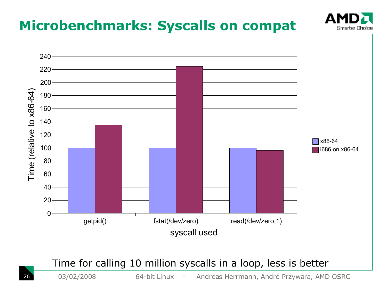

Time for calling 10 million syscalls in a loop, less is better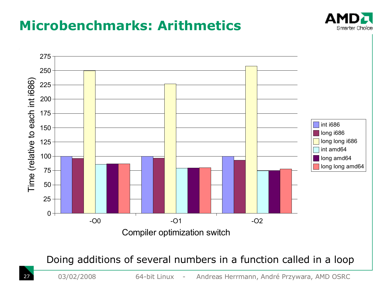### **Microbenchmarks: Arithmetics**





Doing additions of several numbers in a function called in a loop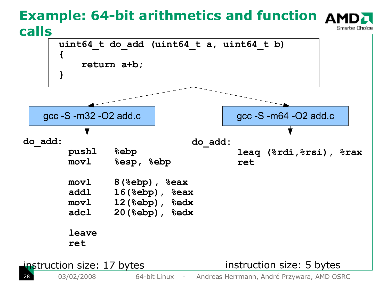### **Example: 64-bit arithmetics and function calls** Smarter Choice

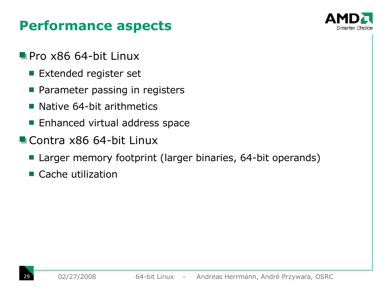### **Performance aspects**



- Pro x86 64-bit Linux
	- **Extended register set**
	- Parameter passing in registers  $\mathcal{L}^{\text{max}}$
	- Native 64-bit arithmetics  $\sim$
	- **Enhanced virtual address space**
- Contra x86 64-bit Linux
	- Larger memory footprint (larger binaries, 64-bit operands)
	- Cache utilization $\mathcal{L}^{\mathcal{L}}$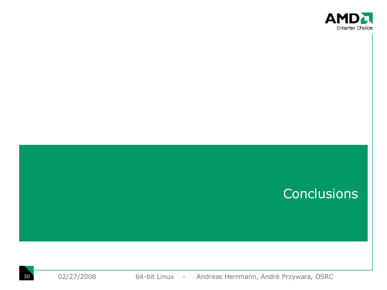

### **Conclusions**

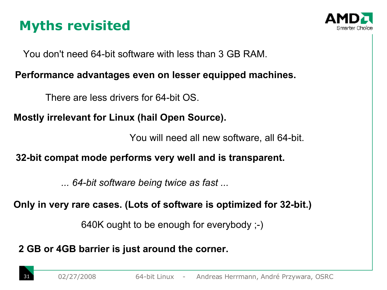## **Myths revisited**



You don't need 64-bit software with less than 3 GB RAM.

### **Performance advantages even on lesser equipped machines.**

There are less drivers for 64-bit OS.

### **Mostly irrelevant for Linux (hail Open Source).**

You will need all new software, all 64-bit.

### **32-bit compat mode performs very well and is transparent.**

*... 64-bit software being twice as fast ...*

### **Only in very rare cases. (Lots of software is optimized for 32-bit.)**

640K ought to be enough for everybody ;-)

**2 GB or 4GB barrier is just around the corner.**

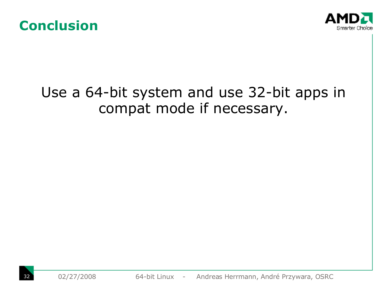



## Use a 64-bit system and use 32-bit apps in compat mode if necessary.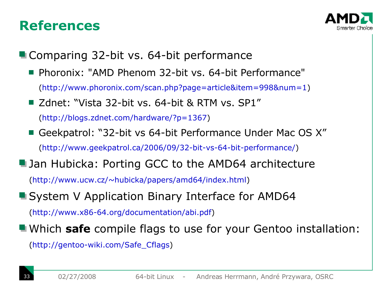### **References**



**Comparing 32-bit vs. 64-bit performance** 

- **Phoronix: "AMD Phenom 32-bit vs. 64-bit Performance"** [\(http://www.phoronix.com/scan.php?page=article&item=998&num=1\)](http://www.phoronix.com/scan.php?page=article&item=998&num=1)
- Zdnet: "Vista 32-bit vs. 64-bit & RTM vs. SP1"

[\(http://blogs.zdnet.com/hardware/?p=1367\)](http://blogs.zdnet.com/hardware/?p=1367)

- Geekpatrol: "32-bit vs 64-bit Performance Under Mac OS X" [\(http://www.geekpatrol.ca/2006/09/32-bit-vs-64-bit-performance/\)](http://www.geekpatrol.ca/2006/09/32-bit-vs-64-bit-performance/)
- **Jan Hubicka: Porting GCC to the AMD64 architecture**

[\(http://www.ucw.cz/~hubicka/papers/amd64/index.html\)](http://www.ucw.cz/~hubicka/papers/amd64/index.html)

### ■ System V Application Binary Interface for AMD64

[\(http://www.x86-64.org/documentation/abi.pdf\)](http://www.x86-64.org/documentation/abi.pdf)

Which **safe** compile flags to use for your Gentoo installation:

[\(http://gentoo-wiki.com/Safe\\_Cflags\)](http://gentoo-wiki.com/Safe_Cflags)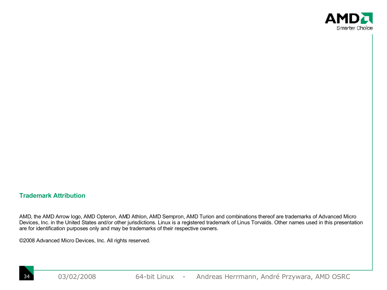

#### **Trademark Attribution**

AMD, the AMD Arrow logo, AMD Opteron, AMD Athlon, AMD Sempron, AMD Turion and combinations thereof are trademarks of Advanced Micro Devices, Inc. in the United States and/or other jurisdictions. Linux is a registered trademark of Linus Torvalds. Other names used in this presentation are for identification purposes only and may be trademarks of their respective owners.

©2008 Advanced Micro Devices, Inc. All rights reserved.

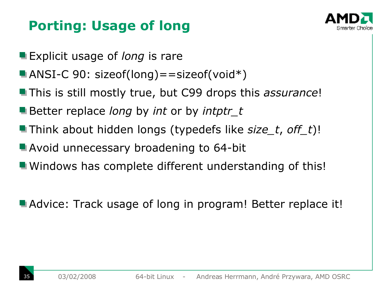## **Porting: Usage of long**



- **Explicit usage of** *long* is rare
- ANSI-C 90: sizeof(long) = = sizeof(void  $*)$
- **This is still mostly true, but C99 drops this** *assurance***!**
- Better replace *long* by *int* or by *intptr\_t*
- Think about hidden longs (typedefs like *size\_t*, *off\_t*)!
- **Avoid unnecessary broadening to 64-bit**
- **u** Windows has complete different understanding of this!

**Advice: Track usage of long in program! Better replace it!**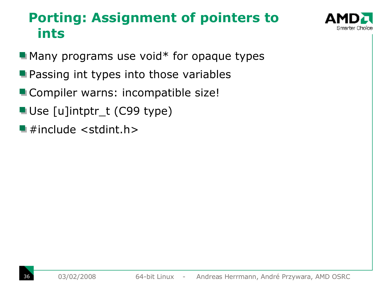### **Porting: Assignment of pointers to ints**

- $\blacksquare$  Many programs use void\* for opaque types
- **Passing int types into those variables**
- **Compiler warns: incompatible size!**
- Use [u]intptr\_t (C99 type)
- $\blacksquare$  #include <stdint.h>

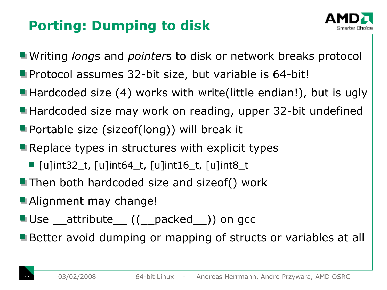## **Porting: Dumping to disk**



Writing *long*s and *pointer*s to disk or network breaks protocol

- **Protocol assumes 32-bit size, but variable is 64-bit!**
- Hardcoded size (4) works with write(little endian!), but is ugly
- Hardcoded size may work on reading, upper 32-bit undefined
- **Portable size (sizeof(long)) will break it**
- Replace types in structures with explicit types
	- $\blacksquare$  [u]int32\_t, [u]int64\_t, [u]int16\_t, [u]int8\_t
- **Then both hardcoded size and sizeof() work**
- **Alignment may change!**
- Use \_\_attribute\_\_((\_\_packed\_\_)) on gcc
- **Better avoid dumping or mapping of structs or variables at all**